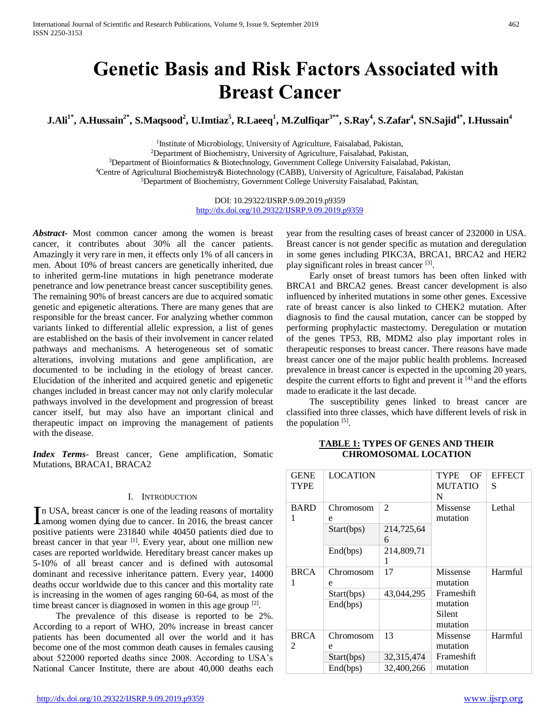# **Genetic Basis and Risk Factors Associated with Breast Cancer**

 $\mathbf{J}.\mathbf{Ali}^{1*}, \mathbf{A}.\mathbf{H}$ ussain $^{2*}, \mathbf{S}.\mathbf{M}$ aqsood $^{2}, \mathbf{U}.\mathbf{I}$ mtiaz $^{5}, \mathbf{R}.\mathbf{L}$ aeeq $^{1}, \mathbf{M}.\mathbf{Z}$ ulfiqar $^{3**}, \mathbf{S}.\mathbf{Ray}^{4}, \mathbf{S}.\mathbf{Z}$ afar $^{4}, \mathbf{SN}.\mathbf{S}$ ajid $^{4*}, \mathbf{I}.\mathbf{H}$ ussain $^{4}$ 

<sup>1</sup>Institute of Microbiology, University of Agriculture, Faisalabad, Pakistan, <sup>2</sup>Department of Biochemistry, University of Agriculture, Faisalabad, Pakistan, <sup>3</sup>Department of Bioinformatics & Biotechnology, Government College University Faisalabad, Pakistan, <sup>4</sup>Centre of Agricultural Biochemistry& Biotechnology (CABB), University of Agriculture, Faisalabad, Pakistan <sup>5</sup>Department of Biochemistry, Government College University Faisalabad, Pakistan,

> DOI: 10.29322/IJSRP.9.09.2019.p9359 <http://dx.doi.org/10.29322/IJSRP.9.09.2019.p9359>

*Abstract***-** Most common cancer among the women is breast cancer, it contributes about 30% all the cancer patients. Amazingly it very rare in men, it effects only 1% of all cancers in men. About 10% of breast cancers are genetically inherited, due to inherited germ-line mutations in high penetrance moderate penetrance and low penetrance breast cancer susceptibility genes. The remaining 90% of breast cancers are due to acquired somatic genetic and epigenetic alterations. There are many genes that are responsible for the breast cancer. For analyzing whether common variants linked to differential allelic expression, a list of genes are established on the basis of their involvement in cancer related pathways and mechanisms. A heterogeneous set of somatic alterations, involving mutations and gene amplification, are documented to be including in the etiology of breast cancer. Elucidation of the inherited and acquired genetic and epigenetic changes included in breast cancer may not only clarify molecular pathways involved in the development and progression of breast cancer itself, but may also have an important clinical and therapeutic impact on improving the management of patients with the disease.

*Index Terms*- Breast cancer, Gene amplification, Somatic Mutations, BRACA1, BRACA2

#### I. INTRODUCTION

n USA, breast cancer is one of the leading reasons of mortality In USA, breast cancer is one of the leading reasons of mortality<br>among women dying due to cancer. In 2016, the breast cancer positive patients were 231840 while 40450 patients died due to breast cancer in that year [1]. Every year, about one million new cases are reported worldwide. Hereditary breast cancer makes up 5-10% of all breast cancer and is defined with autosomal dominant and recessive inheritance pattern. Every year, 14000 deaths occur worldwide due to this cancer and this mortality rate is increasing in the women of ages ranging 60-64, as most of the time breast cancer is diagnosed in women in this age group [2].

 The prevalence of this disease is reported to be 2%. According to a report of WHO, 20% increase in breast cancer patients has been documented all over the world and it has become one of the most common death causes in females causing about 522000 reported deaths since 2008. According to USA's National Cancer Institute, there are about 40,000 deaths each year from the resulting cases of breast cancer of 232000 in USA. Breast cancer is not gender specific as mutation and deregulation in some genes including PIKC3A, BRCA1, BRCA2 and HER2 play significant roles in breast cancer<sup>[3]</sup>.

 Early onset of breast tumors has been often linked with BRCA1 and BRCA2 genes. Breast cancer development is also influenced by inherited mutations in some other genes. Excessive rate of breast cancer is also linked to CHEK2 mutation. After diagnosis to find the causal mutation, cancer can be stopped by performing prophylactic mastectomy. Deregulation or mutation of the genes TP53, RB, MDM2 also play important roles in therapeutic responses to breast cancer. There reasons have made breast cancer one of the major public health problems. Increased prevalence in breast cancer is expected in the upcoming 20 years, despite the current efforts to fight and prevent it  $[4]$  and the efforts made to eradicate it the last decade.

 The susceptibility genes linked to breast cancer are classified into three classes, which have different levels of risk in the population  $[5]$ .

| Lethal  |
|---------|
|         |
|         |
|         |
|         |
|         |
|         |
|         |
|         |
| Harmful |
|         |
|         |
|         |
|         |
|         |
| Harmful |
|         |
|         |
|         |
|         |

#### **TABLE 1: TYPES OF GENES AND THEIR CHROMOSOMAL LOCATION**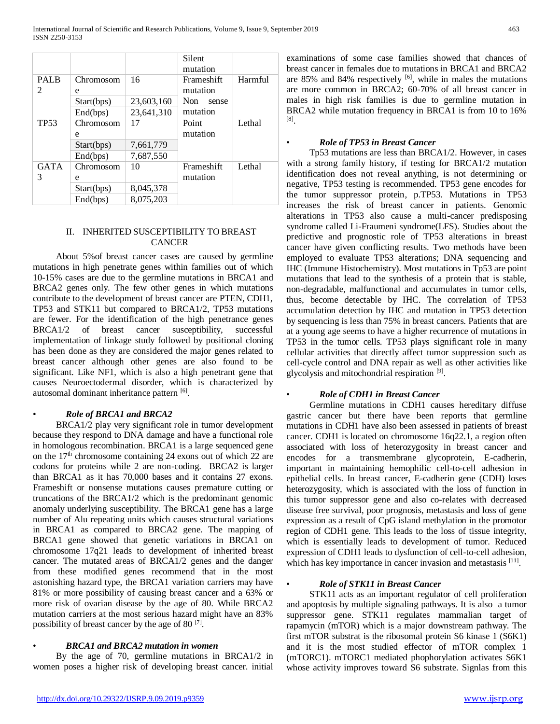|                          |            |            | Silent<br>mutation |         |
|--------------------------|------------|------------|--------------------|---------|
| <b>PALB</b>              | Chromosom  | 16         | Frameshift         | Harmful |
| $\overline{\mathcal{L}}$ | e          |            | mutation           |         |
|                          | Start(bps) | 23,603,160 | Non.<br>sense      |         |
|                          | End(bps)   | 23,641,310 | mutation           |         |
| <b>TP53</b>              | Chromosom  | 17         | Point              | Lethal  |
|                          | e          |            | mutation           |         |
|                          | Start(bps) | 7,661,779  |                    |         |
|                          | End(bps)   | 7,687,550  |                    |         |
| <b>GATA</b>              | Chromosom  | 10         | Frameshift         | Lethal  |
| 3                        | e          |            | mutation           |         |
|                          | Start(bps) | 8,045,378  |                    |         |
|                          | End(bps)   | 8,075,203  |                    |         |

## II. INHERITED SUSCEPTIBILITY TO BREAST CANCER

 About 5%of breast cancer cases are caused by germline mutations in high penetrate genes within families out of which 10-15% cases are due to the germline mutations in BRCA1 and BRCA2 genes only. The few other genes in which mutations contribute to the development of breast cancer are PTEN, CDH1, TP53 and STK11 but compared to BRCA1/2, TP53 mutations are fewer. For the identification of the high penetrance genes BRCA1/2 of breast cancer susceptibility, successful implementation of linkage study followed by positional cloning has been done as they are considered the major genes related to breast cancer although other genes are also found to be significant. Like NF1, which is also a high penetrant gene that causes Neuroectodermal disorder, which is characterized by autosomal dominant inheritance pattern [6].

## • *Role of BRCA1 and BRCA2*

 BRCA1/2 play very significant role in tumor development because they respond to DNA damage and have a functional role in homologous recombination. BRCA1 is a large sequenced gene on the  $17<sup>th</sup>$  chromosome containing 24 exons out of which 22 are codons for proteins while 2 are non-coding. BRCA2 is larger than BRCA1 as it has 70,000 bases and it contains 27 exons. Frameshift or nonsense mutations causes premature cutting or truncations of the BRCA1/2 which is the predominant genomic anomaly underlying susceptibility. The BRCA1 gene has a large number of Alu repeating units which causes structural variations in BRCA1 as compared to BRCA2 gene. The mapping of BRCA1 gene showed that genetic variations in BRCA1 on chromosome 17q21 leads to development of inherited breast cancer. The mutated areas of BRCA1/2 genes and the danger from these modified genes recommend that in the most astonishing hazard type, the BRCA1 variation carriers may have 81% or more possibility of causing breast cancer and a 63% or more risk of ovarian disease by the age of 80. While BRCA2 mutation carriers at the most serious hazard might have an 83% possibility of breast cancer by the age of 80 [7].

## • *BRCA1 and BRCA2 mutation in women*

 By the age of 70, germline mutations in BRCA1/2 in women poses a higher risk of developing breast cancer. initial examinations of some case families showed that chances of breast cancer in females due to mutations in BRCA1 and BRCA2 are  $85\%$  and  $84\%$  respectively  $[6]$ , while in males the mutations are more common in BRCA2; 60-70% of all breast cancer in males in high risk families is due to germline mutation in BRCA2 while mutation frequency in BRCA1 is from 10 to 16% [8] .

## • *Role of TP53 in Breast Cancer*

 Tp53 mutations are less than BRCA1/2. However, in cases with a strong family history, if testing for BRCA1/2 mutation identification does not reveal anything, is not determining or negative, TP53 testing is recommended. TP53 gene encodes for the tumor suppressor protein, p.TP53. Mutations in TP53 increases the risk of breast cancer in patients. Genomic alterations in TP53 also cause a multi-cancer predisposing syndrome called Li-Fraumeni syndrome(LFS). Studies about the predictive and prognostic role of TP53 alterations in breast cancer have given conflicting results. Two methods have been employed to evaluate TP53 alterations; DNA sequencing and IHC (Immune Histochemistry). Most mutations in Tp53 are point mutations that lead to the synthesis of a protein that is stable, non-degradable, malfunctional and accumulates in tumor cells, thus, become detectable by IHC. The correlation of TP53 accumulation detection by IHC and mutation in TP53 detection by sequencing is less than 75% in breast cancers. Patients that are at a young age seems to have a higher recurrence of mutations in TP53 in the tumor cells. TP53 plays significant role in many cellular activities that directly affect tumor suppression such as cell-cycle control and DNA repair as well as other activities like glycolysis and mitochondrial respiration<sup>[9]</sup>.

## • *Role of CDH1 in Breast Cancer*

 Germline mutations in CDH1 causes hereditary diffuse gastric cancer but there have been reports that germline mutations in CDH1 have also been assessed in patients of breast cancer. CDH1 is located on chromosome 16q22.1, a region often associated with loss of heterozygosity in breast cancer and encodes for a transmembrane glycoprotein, E-cadherin, important in maintaining hemophilic cell-to-cell adhesion in epithelial cells. In breast cancer, E-cadherin gene (CDH) loses heterozygosity, which is associated with the loss of function in this tumor suppressor gene and also co-relates with decreased disease free survival, poor prognosis, metastasis and loss of gene expression as a result of CpG island methylation in the promotor region of CDH1 gene. This leads to the loss of tissue integrity, which is essentially leads to development of tumor. Reduced expression of CDH1 leads to dysfunction of cell-to-cell adhesion, which has key importance in cancer invasion and metastasis [11].

## • *Role of STK11 in Breast Cancer*

 STK11 acts as an important regulator of cell proliferation and apoptosis by multiple signaling pathways. It is also a tumor suppressor gene. STK11 regulates mammalian target of rapamycin (mTOR) which is a major downstream pathway. The first mTOR substrat is the ribosomal protein S6 kinase 1 (S6K1) and it is the most studied effector of mTOR complex 1 (mTORC1). mTORC1 mediated phophorylation activates S6K1 whose activity improves toward S6 substrate. Signlas from this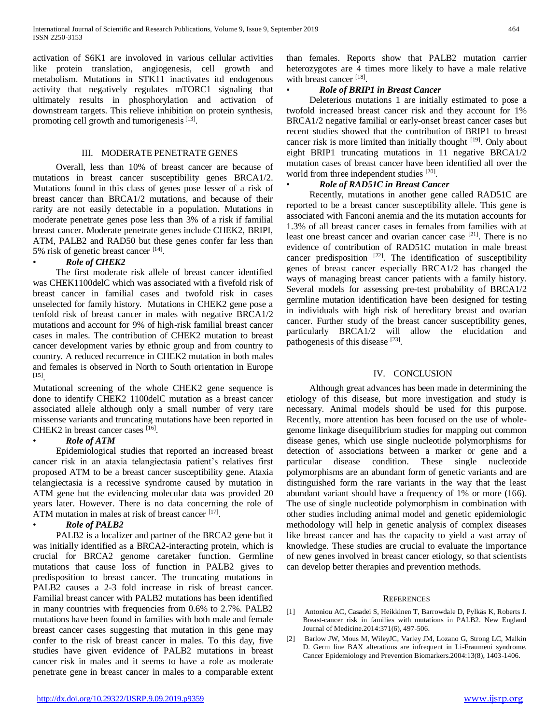activation of S6K1 are involoved in various cellular activities like protein translation, angiogenesis, cell growth and metabolism. Mutations in STK11 inactivates itd endogenous activity that negatively regulates mTORC1 signaling that ultimately results in phosphorylation and activation of downstream targets. This relieve inhibition on protein synthesis, promoting cell growth and tumorigenesis  $[13]$ .

## III. MODERATE PENETRATE GENES

 Overall, less than 10% of breast cancer are because of mutations in breast cancer susceptibility genes BRCA1/2. Mutations found in this class of genes pose lesser of a risk of breast cancer than BRCA1/2 mutations, and because of their rarity are not easily detectable in a population. Mutations in moderate penetrate genes pose less than 3% of a risk if familial breast cancer. Moderate penetrate genes include CHEK2, BRIPI, ATM, PALB2 and RAD50 but these genes confer far less than 5% risk of genetic breast cancer [14].

## • *Role of CHEK2*

 The first moderate risk allele of breast cancer identified was CHEK1100delC which was associated with a fivefold risk of breast cancer in familial cases and twofold risk in cases unselected for family history. Mutations in CHEK2 gene pose a tenfold risk of breast cancer in males with negative BRCA1/2 mutations and account for 9% of high-risk familial breast cancer cases in males. The contribution of CHEK2 mutation to breast cancer development varies by ethnic group and from country to country. A reduced recurrence in CHEK2 mutation in both males and females is observed in North to South orientation in Europe [15] .

Mutational screening of the whole CHEK2 gene sequence is done to identify CHEK2 1100delC mutation as a breast cancer associated allele although only a small number of very rare missense variants and truncating mutations have been reported in CHEK2 in breast cancer cases [16].

## • *Role of ATM*

 Epidemiological studies that reported an increased breast cancer risk in an ataxia telangiectasia patient's relatives first proposed ATM to be a breast cancer susceptibility gene. Ataxia telangiectasia is a recessive syndrome caused by mutation in ATM gene but the evidencing molecular data was provided 20 years later. However. There is no data concerning the role of ATM mutation in males at risk of breast cancer [17].

## • *Role of PALB2*

 PALB2 is a localizer and partner of the BRCA2 gene but it was initially identified as a BRCA2-interacting protein, which is crucial for BRCA2 genome caretaker function. Germline mutations that cause loss of function in PALB2 gives to predisposition to breast cancer. The truncating mutations in PALB2 causes a 2-3 fold increase in risk of breast cancer. Familial breast cancer with PALB2 mutations has been identified in many countries with frequencies from 0.6% to 2.7%. PALB2 mutations have been found in families with both male and female breast cancer cases suggesting that mutation in this gene may confer to the risk of breast cancer in males. To this day, five studies have given evidence of PALB2 mutations in breast cancer risk in males and it seems to have a role as moderate penetrate gene in breast cancer in males to a comparable extent than females. Reports show that PALB2 mutation carrier heterozygotes are 4 times more likely to have a male relative with breast cancer<sup>[18]</sup>.

## • *Role of BRIP1 in Breast Cancer*

 Deleterious mutations 1 are initially estimated to pose a twofold increased breast cancer risk and they account for 1% BRCA1/2 negative familial or early-onset breast cancer cases but recent studies showed that the contribution of BRIP1 to breast cancer risk is more limited than initially thought [19]. Only about eight BRIP1 truncating mutations in 11 negative BRCA1/2 mutation cases of breast cancer have been identified all over the world from three independent studies [20].

## • *Role of RAD51C in Breast Cancer*

 Recently, mutations in another gene called RAD51C are reported to be a breast cancer susceptibility allele. This gene is associated with Fanconi anemia and the its mutation accounts for 1.3% of all breast cancer cases in females from families with at least one breast cancer and ovarian cancer case <sup>[21]</sup>. There is no evidence of contribution of RAD51C mutation in male breast cancer predisposition  $[22]$ . The identification of susceptibility genes of breast cancer especially BRCA1/2 has changed the ways of managing breast cancer patients with a family history. Several models for assessing pre-test probability of BRCA1/2 germline mutation identification have been designed for testing in individuals with high risk of hereditary breast and ovarian cancer. Further study of the breast cancer susceptibility genes, particularly BRCA1/2 will allow the elucidation and pathogenesis of this disease [23].

## IV. CONCLUSION

 Although great advances has been made in determining the etiology of this disease, but more investigation and study is necessary. Animal models should be used for this purpose. Recently, more attention has been focused on the use of wholegenome linkage disequilibrium studies for mapping out common disease genes, which use single nucleotide polymorphisms for detection of associations between a marker or gene and a particular disease condition. These single nucleotide polymorphisms are an abundant form of genetic variants and are distinguished form the rare variants in the way that the least abundant variant should have a frequency of 1% or more (166). The use of single nucleotide polymorphism in combination with other studies including animal model and genetic epidemiologic methodology will help in genetic analysis of complex diseases like breast cancer and has the capacity to yield a vast array of knowledge. These studies are crucial to evaluate the importance of new genes involved in breast cancer etiology, so that scientists can develop better therapies and prevention methods.

#### **REFERENCES**

- [1] Antoniou AC, Casadei S, Heikkinen T, Barrowdale D, Pylkäs K, Roberts J. Breast-cancer risk in families with mutations in PALB2. New England Journal of Medicine.2014:371(6), 497-506.
- [2] Barlow JW, Mous M, WileyJC, Varley JM, Lozano G, Strong LC, Malkin D. Germ line BAX alterations are infrequent in Li-Fraumeni syndrome. Cancer Epidemiology and Prevention Biomarkers.2004:13(8), 1403-1406.